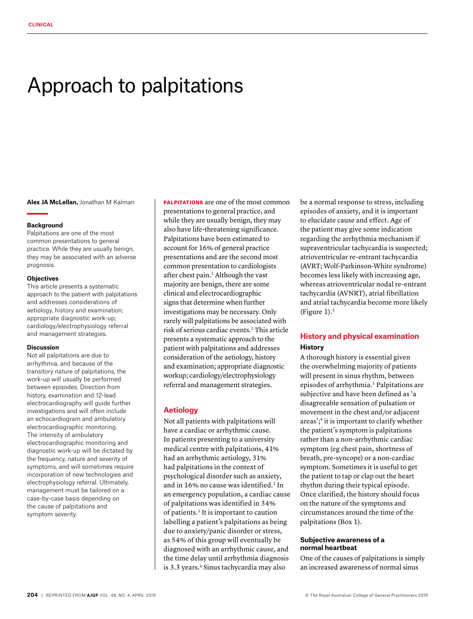# Approach to palpitations

**Alex JA McLellan,** Jonathan M Kalman

#### **Background**

Palpitations are one of the most common presentations to general practice. While they are usually benign, they may be associated with an adverse prognosis.

#### **Objectives**

This article presents a systematic approach to the patient with palpitations and addresses considerations of aetiology, history and examination; appropriate diagnostic work-up; cardiology/electrophysiology referral and management strategies.

#### **Discussion**

Not all palpitations are due to arrhythmia, and because of the transitory nature of palpitations, the work-up will usually be performed between episodes. Direction from history, examination and 12-lead electrocardiography will guide further investigations and will often include an echocardiogram and ambulatory electrocardiographic monitoring. The intensity of ambulatory electrocardiographic monitoring and diagnostic work-up will be dictated by the frequency, nature and severity of symptoms, and will sometimes require incorporation of new technologies and electrophysiology referral. Ultimately, management must be tailored on a case-by-case basis depending on the cause of palpitations and symptom severity.

**PALPITATIONS** are one of the most common presentations to general practice, and while they are usually benign, they may also have life-threatening significance. Palpitations have been estimated to account for 16% of general practice presentations and are the second most common presentation to cardiologists after chest pain.<sup>1</sup> Although the vast majority are benign, there are some clinical and electrocardiographic signs that determine when further investigations may be necessary. Only rarely will palpitations be associated with risk of serious cardiac events.2 This article presents a systematic approach to the patient with palpitations and addresses consideration of the aetiology, history and examination; appropriate diagnostic workup; cardiology/electrophysiology referral and management strategies.

## **Aetiology**

Not all patients with palpitations will have a cardiac or arrhythmic cause. In patients presenting to a university medical centre with palpitations, 41% had an arrhythmic aetiology, 31% had palpitations in the context of psychological disorder such as anxiety, and in 16% no cause was identified.<sup>2</sup> In an emergency population, a cardiac cause of palpitations was identified in 34% of patients.3 It is important to caution labelling a patient's palpitations as being due to anxiety/panic disorder or stress, as 54% of this group will eventually be diagnosed with an arrhythmic cause, and the time delay until arrhythmia diagnosis is 3.3 years.<sup>4</sup> Sinus tachycardia may also

be a normal response to stress, including episodes of anxiety, and it is important to elucidate cause and effect. Age of the patient may give some indication regarding the arrhythmia mechanism if supraventricular tachycardia is suspected; atrioventricular re-entrant tachycardia (AVRT; Wolf-Parkinson-White syndrome) becomes less likely with increasing age, whereas atrioventricular nodal re-entrant tachycardia (AVNRT), atrial fibrillation and atrial tachycardia become more likely (Figure  $1$ ).<sup>5</sup>

# **History and physical examination History**

A thorough history is essential given the overwhelming majority of patients will present in sinus rhythm, between episodes of arrhythmia.<sup>1</sup> Palpitations are subjective and have been defined as 'a disagreeable sensation of pulsation or movement in the chest and/or adjacent areas';<sup>4</sup> it is important to clarify whether the patient's symptom is palpitations rather than a non-arrhythmic cardiac symptom (eg chest pain, shortness of breath, pre-syncope) or a non-cardiac symptom. Sometimes it is useful to get the patient to tap or clap out the heart rhythm during their typical episode. Once clarified, the history should focus on the nature of the symptoms and circumstances around the time of the palpitations (Box 1).

## **Subjective awareness of a normal heartbeat**

One of the causes of palpitations is simply an increased awareness of normal sinus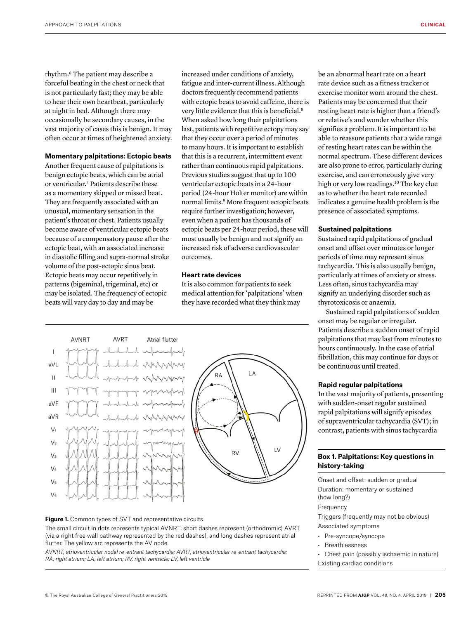rhythm.6 The patient may describe a forceful beating in the chest or neck that is not particularly fast; they may be able to hear their own heartbeat, particularly at night in bed. Although there may occasionally be secondary causes, in the vast majority of cases this is benign. It may often occur at times of heightened anxiety.

#### **Momentary palpitations: Ectopic beats**

Another frequent cause of palpitations is benign ectopic beats, which can be atrial or ventricular.7 Patients describe these as a momentary skipped or missed beat. They are frequently associated with an unusual, momentary sensation in the patient's throat or chest. Patients usually become aware of ventricular ectopic beats because of a compensatory pause after the ectopic beat, with an associated increase in diastolic filling and supra-normal stroke volume of the post-ectopic sinus beat. Ectopic beats may occur repetitively in patterns (bigeminal, trigeminal, etc) or may be isolated. The frequency of ectopic beats will vary day to day and may be

increased under conditions of anxiety, fatigue and inter-current illness. Although doctors frequently recommend patients with ectopic beats to avoid caffeine, there is very little evidence that this is beneficial.8 When asked how long their palpitations last, patients with repetitive ectopy may say that they occur over a period of minutes to many hours. It is important to establish that this is a recurrent, intermittent event rather than continuous rapid palpitations. Previous studies suggest that up to 100 ventricular ectopic beats in a 24-hour period (24-hour Holter monitor) are within normal limits.9 More frequent ectopic beats require further investigation; however, even when a patient has thousands of ectopic beats per 24-hour period, these will most usually be benign and not signify an increased risk of adverse cardiovascular outcomes.

## **Heart rate devices**

It is also common for patients to seek medical attention for 'palpitations' when they have recorded what they think may



#### **Figure 1.** Common types of SVT and representative circuits

The small circuit in dots represents typical AVNRT, short dashes represent (orthodromic) AVRT (via a right free wall pathway represented by the red dashes), and long dashes represent atrial flutter. The yellow arc represents the AV node.

*AVNRT, atrioventricular nodal re-entrant tachycardia; AVRT, atrioventricular re-entrant tachycardia; RA, right atrium; LA, left atrium; RV, right ventricle; LV, left ventricle*

be an abnormal heart rate on a heart rate device such as a fitness tracker or exercise monitor worn around the chest. Patients may be concerned that their resting heart rate is higher than a friend's or relative's and wonder whether this signifies a problem. It is important to be able to reassure patients that a wide range of resting heart rates can be within the normal spectrum. These different devices are also prone to error, particularly during exercise, and can erroneously give very high or very low readings.<sup>10</sup> The key clue as to whether the heart rate recorded indicates a genuine health problem is the presence of associated symptoms.

#### **Sustained palpitations**

Sustained rapid palpitations of gradual onset and offset over minutes or longer periods of time may represent sinus tachycardia. This is also usually benign, particularly at times of anxiety or stress. Less often, sinus tachycardia may signify an underlying disorder such as thyrotoxicosis or anaemia.

Sustained rapid palpitations of sudden onset may be regular or irregular. Patients describe a sudden onset of rapid palpitations that may last from minutes to hours continuously. In the case of atrial fibrillation, this may continue for days or be continuous until treated.

# **Rapid regular palpitations**

In the vast majority of patients, presenting with sudden-onset regular sustained rapid palpitations will signify episodes of supraventricular tachycardia (SVT); in contrast, patients with sinus tachycardia

# **Box 1. Palpitations: Key questions in history-taking**

Onset and offset: sudden or gradual Duration: momentary or sustained (how long?) Frequency

Triggers (frequently may not be obvious) Associated symptoms

- Pre-syncope/syncope
- Breathlessness
- Chest pain (possibly ischaemic in nature) Existing cardiac conditions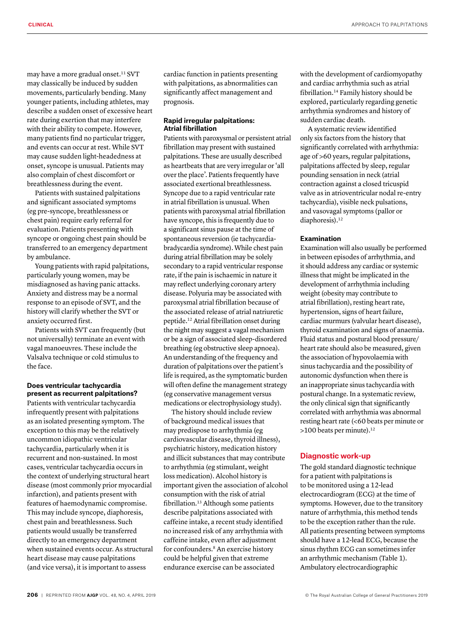may have a more gradual onset.<sup>11</sup> SVT may classically be induced by sudden movements, particularly bending. Many younger patients, including athletes, may describe a sudden onset of excessive heart rate during exertion that may interfere with their ability to compete. However, many patients find no particular trigger, and events can occur at rest. While SVT may cause sudden light-headedness at onset, syncope is unusual. Patients may also complain of chest discomfort or breathlessness during the event.

Patients with sustained palpitations and significant associated symptoms (eg pre-syncope, breathlessness or chest pain) require early referral for evaluation. Patients presenting with syncope or ongoing chest pain should be transferred to an emergency department by ambulance.

Young patients with rapid palpitations, particularly young women, may be misdiagnosed as having panic attacks. Anxiety and distress may be a normal response to an episode of SVT, and the history will clarify whether the SVT or anxiety occurred first.

Patients with SVT can frequently (but not universally) terminate an event with vagal manoeuvres. These include the Valsalva technique or cold stimulus to the face.

## **Does ventricular tachycardia present as recurrent palpitations?**

Patients with ventricular tachycardia infrequently present with palpitations as an isolated presenting symptom. The exception to this may be the relatively uncommon idiopathic ventricular tachycardia, particularly when it is recurrent and non-sustained. In most cases, ventricular tachycardia occurs in the context of underlying structural heart disease (most commonly prior myocardial infarction), and patients present with features of haemodynamic compromise. This may include syncope, diaphoresis, chest pain and breathlessness. Such patients would usually be transferred directly to an emergency department when sustained events occur. As structural heart disease may cause palpitations (and vice versa), it is important to assess

cardiac function in patients presenting with palpitations, as abnormalities can significantly affect management and prognosis.

## **Rapid irregular palpitations: Atrial fibrillation**

Patients with paroxysmal or persistent atrial fibrillation may present with sustained palpitations. These are usually described as heartbeats that are very irregular or 'all over the place'. Patients frequently have associated exertional breathlessness. Syncope due to a rapid ventricular rate in atrial fibrillation is unusual. When patients with paroxysmal atrial fibrillation have syncope, this is frequently due to a significant sinus pause at the time of spontaneous reversion (ie tachycardiabradycardia syndrome). While chest pain during atrial fibrillation may be solely secondary to a rapid ventricular response rate, if the pain is ischaemic in nature it may reflect underlying coronary artery disease. Polyuria may be associated with paroxysmal atrial fibrillation because of the associated release of atrial natriuretic peptide.12 Atrial fibrillation onset during the night may suggest a vagal mechanism or be a sign of associated sleep-disordered breathing (eg obstructive sleep apnoea). An understanding of the frequency and duration of palpitations over the patient's life is required, as the symptomatic burden will often define the management strategy (eg conservative management versus medications or electrophysiology study).

The history should include review of background medical issues that may predispose to arrhythmia (eg cardiovascular disease, thyroid illness), psychiatric history, medication history and illicit substances that may contribute to arrhythmia (eg stimulant, weight loss medication). Alcohol history is important given the association of alcohol consumption with the risk of atrial fibrillation.13 Although some patients describe palpitations associated with caffeine intake, a recent study identified no increased risk of any arrhythmia with caffeine intake, even after adjustment for confounders.8 An exercise history could be helpful given that extreme endurance exercise can be associated

with the development of cardiomyopathy and cardiac arrhythmia such as atrial fibrillation.14 Family history should be explored, particularly regarding genetic arrhythmia syndromes and history of sudden cardiac death.

A systematic review identified only six factors from the history that significantly correlated with arrhythmia: age of >60 years, regular palpitations, palpitations affected by sleep, regular pounding sensation in neck (atrial contraction against a closed tricuspid valve as in atrioventricular nodal re-entry tachycardia), visible neck pulsations, and vasovagal symptoms (pallor or diaphoresis).<sup>12</sup>

## **Examination**

Examination will also usually be performed in between episodes of arrhythmia, and it should address any cardiac or systemic illness that might be implicated in the development of arrhythmia including weight (obesity may contribute to atrial fibrillation), resting heart rate, hypertension, signs of heart failure, cardiac murmurs (valvular heart disease), thyroid examination and signs of anaemia. Fluid status and postural blood pressure/ heart rate should also be measured, given the association of hypovolaemia with sinus tachycardia and the possibility of autonomic dysfunction when there is an inappropriate sinus tachycardia with postural change. In a systematic review, the only clinical sign that significantly correlated with arrhythmia was abnormal resting heart rate (<60 beats per minute or >100 beats per minute).<sup>12</sup>

# **Diagnostic work-up**

The gold standard diagnostic technique for a patient with palpitations is to be monitored using a 12-lead electrocardiogram (ECG) at the time of symptoms. However, due to the transitory nature of arrhythmia, this method tends to be the exception rather than the rule. All patients presenting between symptoms should have a 12-lead ECG, because the sinus rhythm ECG can sometimes infer an arrhythmic mechanism (Table 1). Ambulatory electrocardiographic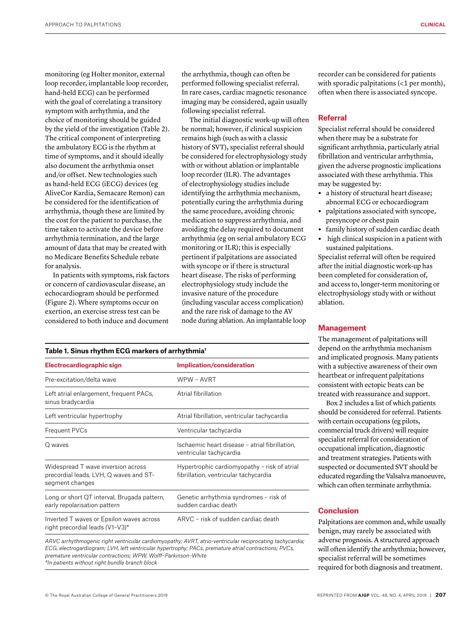monitoring (eg Holter monitor, external loop recorder, implantable loop recorder, hand-held ECG) can be performed with the goal of correlating a transitory symptom with arrhythmia, and the choice of monitoring should be guided by the yield of the investigation (Table 2). The critical component of interpreting the ambulatory ECG is the rhythm at time of symptoms, and it should ideally also document the arrhythmia onset and/or offset. New technologies such as hand-held ECG (iECG) devices (eg AliveCor Kardia, Semacare Remon) can be considered for the identification of arrhythmia, though these are limited by the cost for the patient to purchase, the time taken to activate the device before arrhythmia termination, and the large amount of data that may be created with no Medicare Benefits Schedule rebate for analysis.

In patients with symptoms, risk factors or concern of cardiovascular disease, an echocardiogram should be performed (Figure 2). Where symptoms occur on exertion, an exercise stress test can be considered to both induce and document

the arrhythmia, though can often be performed following specialist referral. In rare cases, cardiac magnetic resonance imaging may be considered, again usually following specialist referral.

The initial diagnostic work-up will often be normal; however, if clinical suspicion remains high (such as with a classic history of SVT), specialist referral should be considered for electrophysiology study with or without ablation or implantable loop recorder (ILR). The advantages of electrophysiology studies include identifying the arrhythmia mechanism, potentially curing the arrhythmia during the same procedure, avoiding chronic medication to suppress arrhythmia, and avoiding the delay required to document arrhythmia (eg on serial ambulatory ECG monitoring or ILR); this is especially pertinent if palpitations are associated with syncope or if there is structural heart disease. The risks of performing electrophysiology study include the invasive nature of the procedure (including vascular access complication) and the rare risk of damage to the AV node during ablation. An implantable loop

## **Table 1. Sinus rhythm ECG markers of arrhythmia1**

| Electrocardiographic sign                                                                       | <b>Implication/consideration</b>                                                      |  |
|-------------------------------------------------------------------------------------------------|---------------------------------------------------------------------------------------|--|
| Pre-excitation/delta wave                                                                       | WPW - AVRT                                                                            |  |
| Left atrial enlargement, frequent PACs,<br>sinus bradycardia                                    | Atrial fibrillation                                                                   |  |
| Left ventricular hypertrophy                                                                    | Atrial fibrillation, ventricular tachycardia                                          |  |
| Frequent PVCs                                                                                   | Ventricular tachycardia                                                               |  |
| Q waves                                                                                         | Ischaemic heart disease - atrial fibrillation,<br>ventricular tachycardia             |  |
| Widespread T wave inversion across<br>precordial leads, LVH, Q waves and ST-<br>segment changes | Hypertrophic cardiomyopathy - risk of atrial<br>fibrillation, ventricular tachycardia |  |
| Long or short QT interval, Brugada pattern,<br>early repolarisation pattern                     | Genetic arrhythmia syndromes - risk of<br>sudden cardiac death                        |  |
| Inverted T waves or Epsilon waves across<br>right precordial leads (V1-V3)*                     | ARVC - risk of sudden cardiac death                                                   |  |
|                                                                                                 |                                                                                       |  |

*ARVC arrhythmogenic right ventricular cardiomyopathy; AVRT, atrio-ventricular reciprocating tachycardia; ECG, electrogardiogram; LVH, left ventricular hypertrophy; PACs, premature atrial contractions; PVCs, premature ventricular contractions; WPW, Wolff–Parkinson–White \*In patients without right bundle branch block*

recorder can be considered for patients with sporadic palpitations (<1 per month), often when there is associated syncope.

# **Referral**

Specialist referral should be considered when there may be a substrate for significant arrhythmia, particularly atrial fibrillation and ventricular arrhythmia, given the adverse prognostic implications associated with these arrhythmia. This may be suggested by:

- **•** a history of structural heart disease; abnormal ECG or echocardiogram
- **•** palpitations associated with syncope, presyncope or chest pain
- **•** family history of sudden cardiac death
- **•** high clinical suspicion in a patient with sustained palpitations.

Specialist referral will often be required after the initial diagnostic work-up has been completed for consideration of, and access to, longer-term monitoring or electrophysiology study with or without ablation.

## **Management**

The management of palpitations will depend on the arrhythmia mechanism and implicated prognosis. Many patients with a subjective awareness of their own heartbeat or infrequent palpitations consistent with ectopic beats can be treated with reassurance and support.

Box 2 includes a list of which patients should be considered for referral. Patients with certain occupations (eg pilots, commercial truck drivers) will require specialist referral for consideration of occupational implication, diagnostic and treatment strategies. Patients with suspected or documented SVT should be educated regarding the Valsalva manoeuvre, which can often terminate arrhythmia.

# **Conclusion**

Palpitations are common and, while usually benign, may rarely be associated with adverse prognosis. A structured approach will often identify the arrhythmia; however, specialist referral will be sometimes required for both diagnosis and treatment.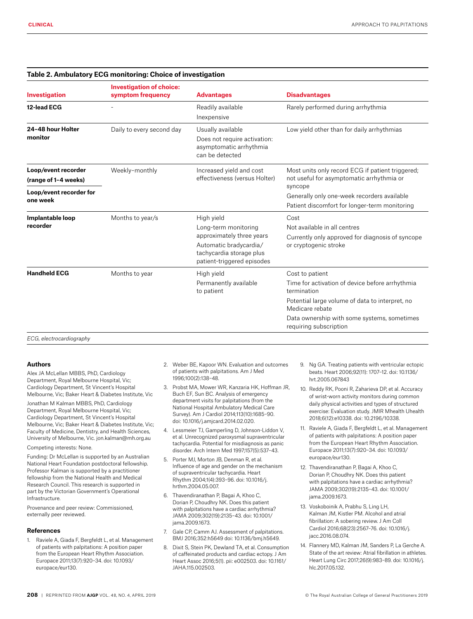| <b>Investigation</b>                        | <b>Investigation of choice:</b><br>symptom frequency | <b>Advantages</b>                                                                                                                                   | <b>Disadvantages</b>                                                                                                                                                                                                             |
|---------------------------------------------|------------------------------------------------------|-----------------------------------------------------------------------------------------------------------------------------------------------------|----------------------------------------------------------------------------------------------------------------------------------------------------------------------------------------------------------------------------------|
| 12-lead ECG                                 |                                                      | Readily available<br>Inexpensive                                                                                                                    | Rarely performed during arrhythmia                                                                                                                                                                                               |
| 24-48 hour Holter<br>monitor                | Daily to every second day                            | Usually available<br>Does not require activation:<br>asymptomatic arrhythmia<br>can be detected                                                     | Low yield other than for daily arrhythmias                                                                                                                                                                                       |
| Loop/event recorder<br>(range of 1-4 weeks) | Weekly-monthly                                       | Increased yield and cost<br>effectiveness (versus Holter)                                                                                           | Most units only record ECG if patient triggered;<br>not useful for asymptomatic arrhythmia or                                                                                                                                    |
| Loop/event recorder for<br>one week         |                                                      |                                                                                                                                                     | syncope<br>Generally only one-week recorders available<br>Patient discomfort for longer-term monitoring                                                                                                                          |
| Implantable loop<br>recorder                | Months to year/s                                     | High yield<br>Long-term monitoring<br>approximately three years<br>Automatic bradycardia/<br>tachycardia storage plus<br>patient-triggered episodes | Cost<br>Not available in all centres<br>Currently only approved for diagnosis of syncope<br>or cryptogenic stroke                                                                                                                |
| <b>Handheld ECG</b>                         | Months to year                                       | High yield<br>Permanently available<br>to patient                                                                                                   | Cost to patient<br>Time for activation of device before arrhythmia<br>termination<br>Potential large volume of data to interpret, no<br>Medicare rebate<br>Data ownership with some systems, sometimes<br>requiring subscription |

#### **Table 2. Ambulatory ECG monitoring: Choice of investigation**

*ECG, electrocardiography*

## **Authors**

Alex JA McLellan MBBS, PhD, Cardiology Department, Royal Melbourne Hospital, Vic; Cardiology Department, St Vincent's Hospital Melbourne, Vic; Baker Heart & Diabetes Institute, Vic

Jonathan M Kalman MBBS, PhD, Cardiology Department, Royal Melbourne Hospital, Vic; Cardiology Department, St Vincent's Hospital Melbourne, Vic; Baker Heart & Diabetes Institute, Vic; Faculty of Medicine, Dentistry, and Health Sciences, University of Melbourne, Vic. jon.kalman@mh.org.au

Competing interests: None.

Funding: Dr McLellan is supported by an Australian National Heart Foundation postdoctoral fellowship. Professor Kalman is supported by a practitioner fellowship from the National Health and Medical Research Council. This research is supported in part by the Victorian Government's Operational Infrastructure.

Provenance and peer review: Commissioned, externally peer reviewed.

#### **References**

1. Raviele A, Giada F, Bergfeldt L, et al. Management of patients with palpitations: A position paper from the European Heart Rhythm Association. Europace 2011;13(7):920–34. doi: 10.1093/ europace/eur130.

- 2. Weber BE, Kapoor WN. Evaluation and outcomes of patients with palpitations. Am J Med 1996;100(2):138–48.
- 3. Probst MA, Mower WR, Kanzaria HK, Hoffman JR, Buch EF, Sun BC. Analysis of emergency department visits for palpitations (from the National Hospital Ambulatory Medical Care Survey). Am J Cardiol 2014;113(10):1685–90. doi: 10.1016/j.amjcard.2014.02.020.
- 4. Lessmeier TJ, Gamperling D, Johnson-Liddon V, et al. Unrecognized paroxysmal supraventricular tachycardia. Potential for misdiagnosis as panic disorder. Arch Intern Med 1997;157(5):537–43.
- 5. Porter MJ, Morton JB, Denman R, et al. Influence of age and gender on the mechanism of supraventricular tachycardia. Heart Rhythm 2004;1(4):393–96. doi: 10.1016/j. hrthm.2004.05.007.
- 6. Thavendiranathan P, Bagai A, Khoo C, Dorian P, Choudhry NK. Does this patient with palpitations have a cardiac arrhythmia? JAMA 2009;302(19):2135–43. doi: 10.1001/ jama.2009.1673.
- 7. Gale CP, Camm AJ. Assessment of palpitations. BMJ 2016;352:h5649 doi: 10.1136/bmj.h5649.
- 8. Dixit S, Stein PK, Dewland TA, et al. Consumption of caffeinated products and cardiac ectopy. J Am Heart Assoc 2016;5(1). pii: e002503. doi: 10.1161/ JAHA.115.002503.
- 9. Ng GA. Treating patients with ventricular ectopic beats. Heart 2006;92(11): 1707–12. doi: 10.1136/ hrt.2005.067843
- 10. Reddy RK, Pooni R, Zaharieva DP, et al. Accuracy of wrist-worn activity monitors during common daily physical activities and types of structured exercise: Evaluation study. JMIR Mhealth Uhealth 2018;6(12):e10338. doi: 10.2196/10338.
- 11. Raviele A, Giada F, Bergfeldt L, et al. Management of patients with palpitations: A position paper from the European Heart Rhythm Association. Europace 2011;13(7):920–34. doi: 10.1093/ europace/eur130.
- 12. Thavendiranathan P, Bagai A, Khoo C, Dorian P, Choudhry NK. Does this patient with palpitations have a cardiac arrhythmia? JAMA 2009;302(19):2135–43. doi: 10.1001/ jama.2009.1673.
- 13. Voskoboinik A, Prabhu S, Ling LH, Kalman JM, Kistler PM. Alcohol and atrial fibrillation: A sobering review. J Am Coll Cardiol 2016;68(23):2567–76. doi: 10.1016/j. jacc.2016.08.074.
- 14. Flannery MD, Kalman JM, Sanders P, La Gerche A. State of the art review: Atrial fibrillation in athletes. Heart Lung Circ 2017;26(9):983–89. doi: 10.1016/j. hlc.2017.05.132.